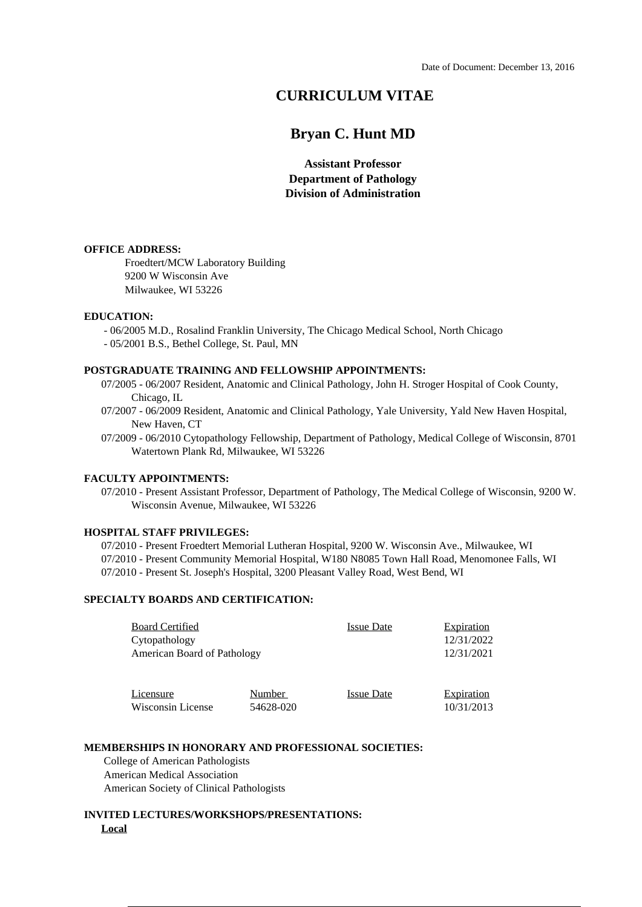# **CURRICULUM VITAE**

# **Bryan C. Hunt MD**

**Assistant Professor Department of Pathology Division of Administration**

#### **OFFICE ADDRESS:**

Froedtert/MCW Laboratory Building 9200 W Wisconsin Ave Milwaukee, WI 53226

### **EDUCATION:**

 - 06/2005 M.D., Rosalind Franklin University, The Chicago Medical School, North Chicago - 05/2001 B.S., Bethel College, St. Paul, MN

#### **POSTGRADUATE TRAINING AND FELLOWSHIP APPOINTMENTS:**

07/2005 - 06/2007 Resident, Anatomic and Clinical Pathology, John H. Stroger Hospital of Cook County, Chicago, IL

07/2007 - 06/2009 Resident, Anatomic and Clinical Pathology, Yale University, Yald New Haven Hospital, New Haven, CT

07/2009 - 06/2010 Cytopathology Fellowship, Department of Pathology, Medical College of Wisconsin, 8701 Watertown Plank Rd, Milwaukee, WI 53226

## **FACULTY APPOINTMENTS:**

07/2010 - Present Assistant Professor, Department of Pathology, The Medical College of Wisconsin, 9200 W. Wisconsin Avenue, Milwaukee, WI 53226

#### **HOSPITAL STAFF PRIVILEGES:**

07/2010 - Present Froedtert Memorial Lutheran Hospital, 9200 W. Wisconsin Ave., Milwaukee, WI 07/2010 - Present Community Memorial Hospital, W180 N8085 Town Hall Road, Menomonee Falls, WI 07/2010 - Present St. Joseph's Hospital, 3200 Pleasant Valley Road, West Bend, WI

# **SPECIALTY BOARDS AND CERTIFICATION:**

| <b>Board Certified</b><br>Cytopathology<br>American Board of Pathology |           | <b>Issue Date</b> | <b>Expiration</b><br>12/31/2022<br>12/31/2021 |
|------------------------------------------------------------------------|-----------|-------------------|-----------------------------------------------|
| Licensure                                                              | Number    | <b>Issue Date</b> | <b>Expiration</b>                             |
| Wisconsin License                                                      | 54628-020 |                   | 10/31/2013                                    |

### **MEMBERSHIPS IN HONORARY AND PROFESSIONAL SOCIETIES:**

 College of American Pathologists American Medical Association American Society of Clinical Pathologists

## **INVITED LECTURES/WORKSHOPS/PRESENTATIONS: Local**